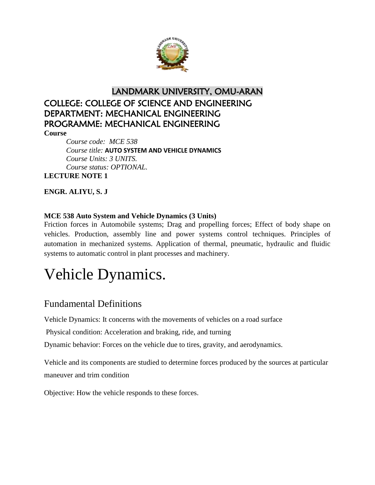

## LANDMARK UNIVERSITY, OMU-ARAN COLLEGE: COLLEGE OF SCIENCE AND ENGINEERING DEPARTMENT: MECHANICAL ENGINEERING PROGRAMME: MECHANICAL ENGINEERING

**Course**

*Course code: MCE 538 Course title:* **AUTO SYSTEM AND VEHICLE DYNAMICS** *Course Units: 3 UNITS. Course status: OPTIONAL.* **LECTURE NOTE 1**

**ENGR. ALIYU, S. J**

#### **MCE 538 Auto System and Vehicle Dynamics (3 Units)**

Friction forces in Automobile systems; Drag and propelling forces; Effect of body shape on vehicles. Production, assembly line and power systems control techniques. Principles of automation in mechanized systems. Application of thermal, pneumatic, hydraulic and fluidic systems to automatic control in plant processes and machinery.

# Vehicle Dynamics.

#### Fundamental Definitions

Vehicle Dynamics: It concerns with the movements of vehicles on a road surface

Physical condition: Acceleration and braking, ride, and turning

Dynamic behavior: Forces on the vehicle due to tires, gravity, and aerodynamics.

Vehicle and its components are studied to determine forces produced by the sources at particular maneuver and trim condition

Objective: How the vehicle responds to these forces.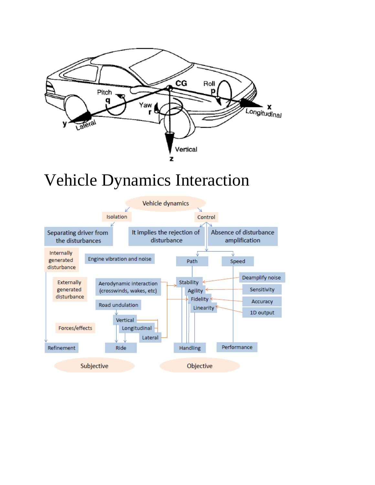

# Vehicle Dynamics Interaction

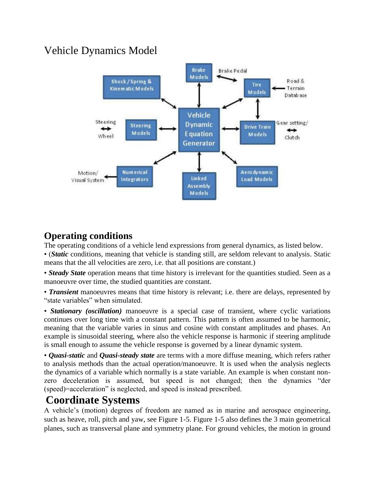## Vehicle Dynamics Model



### **Operating conditions**

The operating conditions of a vehicle lend expressions from general dynamics, as listed below.

• (*Static* conditions, meaning that vehicle is standing still, are seldom relevant to analysis. Static means that the all velocities are zero, i.e. that all positions are constant.)

• *Steady State* operation means that time history is irrelevant for the quantities studied. Seen as a manoeuvre over time, the studied quantities are constant.

• *Transient* manoeuvres means that time history is relevant; i.e. there are delays, represented by "state variables" when simulated.

• *Stationary (oscillation)* manoeuvre is a special case of transient, where cyclic variations continues over long time with a constant pattern. This pattern is often assumed to be harmonic, meaning that the variable varies in sinus and cosine with constant amplitudes and phases. An example is sinusoidal steering, where also the vehicle response is harmonic if steering amplitude is small enough to assume the vehicle response is governed by a linear dynamic system.

• *Quasi-static* and *Quasi-steady state* are terms with a more diffuse meaning, which refers rather to analysis methods than the actual operation/manoeuvre. It is used when the analysis neglects the dynamics of a variable which normally is a state variable. An example is when constant nonzero deceleration is assumed, but speed is not changed; then the dynamics "der (speed)=acceleration" is neglected, and speed is instead prescribed.

## **Coordinate Systems**

A vehicle's (motion) degrees of freedom are named as in marine and aerospace engineering, such as heave, roll, pitch and yaw, see Figure 1-5. Figure 1-5 also defines the 3 main geometrical planes, such as transversal plane and symmetry plane. For ground vehicles, the motion in ground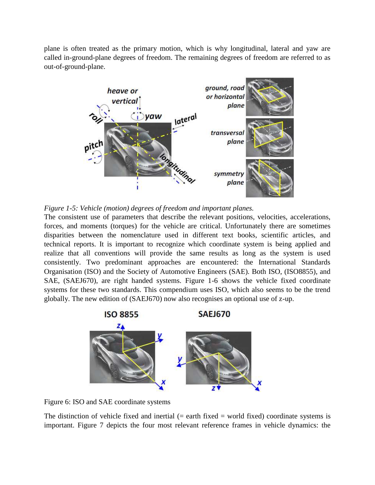plane is often treated as the primary motion, which is why longitudinal, lateral and yaw are called in-ground-plane degrees of freedom. The remaining degrees of freedom are referred to as out-of-ground-plane.





The consistent use of parameters that describe the relevant positions, velocities, accelerations, forces, and moments (torques) for the vehicle are critical. Unfortunately there are sometimes disparities between the nomenclature used in different text books, scientific articles, and technical reports. It is important to recognize which coordinate system is being applied and realize that all conventions will provide the same results as long as the system is used consistently. Two predominant approaches are encountered: the International Standards Organisation (ISO) and the Society of Automotive Engineers (SAE). Both ISO, (ISO8855), and SAE, (SAEJ670), are right handed systems. Figure 1-6 shows the vehicle fixed coordinate systems for these two standards. This compendium uses ISO, which also seems to be the trend globally. The new edition of (SAEJ670) now also recognises an optional use of z-up.



Figure 6: ISO and SAE coordinate systems

The distinction of vehicle fixed and inertial  $(=$  earth fixed  $=$  world fixed) coordinate systems is important. Figure 7 depicts the four most relevant reference frames in vehicle dynamics: the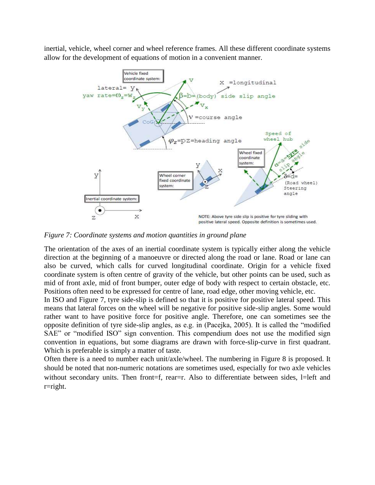inertial, vehicle, wheel corner and wheel reference frames. All these different coordinate systems allow for the development of equations of motion in a convenient manner.



*Figure 7: Coordinate systems and motion quantities in ground plane*

The orientation of the axes of an inertial coordinate system is typically either along the vehicle direction at the beginning of a manoeuvre or directed along the road or lane. Road or lane can also be curved, which calls for curved longitudinal coordinate. Origin for a vehicle fixed coordinate system is often centre of gravity of the vehicle, but other points can be used, such as mid of front axle, mid of front bumper, outer edge of body with respect to certain obstacle, etc. Positions often need to be expressed for centre of lane, road edge, other moving vehicle, etc.

In ISO and Figure 7, tyre side-slip is defined so that it is positive for positive lateral speed. This means that lateral forces on the wheel will be negative for positive side-slip angles. Some would rather want to have positive force for positive angle. Therefore, one can sometimes see the opposite definition of tyre side-slip angles, as e.g. in (Pacejka, 2005). It is called the "modified SAE" or "modified ISO" sign convention. This compendium does not use the modified sign convention in equations, but some diagrams are drawn with force-slip-curve in first quadrant. Which is preferable is simply a matter of taste.

Often there is a need to number each unit/axle/wheel. The numbering in Figure 8 is proposed. It should be noted that non-numeric notations are sometimes used, especially for two axle vehicles without secondary units. Then front=f, rear=r. Also to differentiate between sides, l=left and r=right.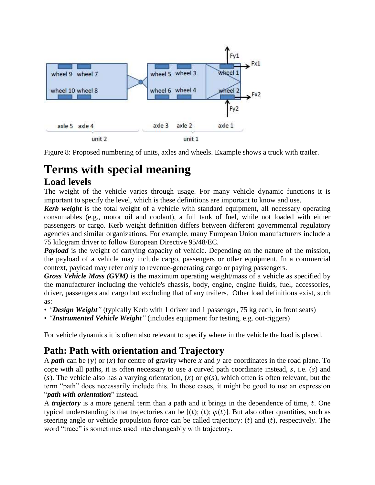

Figure 8: Proposed numbering of units, axles and wheels. Example shows a truck with trailer.

# **Terms with special meaning**

#### **Load levels**

The weight of the vehicle varies through usage. For many vehicle dynamic functions it is important to specify the level, which is these definitions are important to know and use.

*Kerb weight* is the total weight of a vehicle with standard equipment, all necessary operating consumables (e.g., motor oil and coolant), a full tank of fuel, while not loaded with either passengers or cargo. Kerb weight definition differs between different governmental regulatory agencies and similar organizations. For example, many European Union manufacturers include a 75 kilogram driver to follow European Directive 95/48/EC.

*Payload* is the weight of carrying capacity of vehicle. Depending on the nature of the mission, the payload of a vehicle may include cargo, passengers or other equipment. In a commercial context, payload may refer only to revenue-generating cargo or paying passengers.

*Gross Vehicle Mass (GVM)* is the maximum operating weight/mass of a vehicle as specified by the manufacturer including the vehicle's chassis, body, engine, engine fluids, fuel, accessories, driver, passengers and cargo but excluding that of any trailers. Other load definitions exist, such as:

- *"Design Weight"* (typically Kerb with 1 driver and 1 passenger, 75 kg each, in front seats)
- *"Instrumented Vehicle Weight"* (includes equipment for testing, e.g. out-riggers)

For vehicle dynamics it is often also relevant to specify where in the vehicle the load is placed.

### **Path: Path with orientation and Trajectory**

A *path* can be (y) or (x) for centre of gravity where x and y are coordinates in the road plane. To cope with all paths, it is often necessary to use a curved path coordinate instead,  $s$ , i.e.  $(s)$  and (s). The vehicle also has a varying orientation, (x) or  $\varphi(s)$ , which often is often relevant, but the term "path" does necessarily include this. In those cases, it might be good to use an expression "*path with orientation*" instead.

A *trajectory* is a more general term than a path and it brings in the dependence of time, t. One typical understanding is that trajectories can be  $[(t); (t); \varphi(t)]$ . But also other quantities, such as steering angle or vehicle propulsion force can be called trajectory:  $(t)$  and  $(t)$ , respectively. The word "trace" is sometimes used interchangeably with trajectory.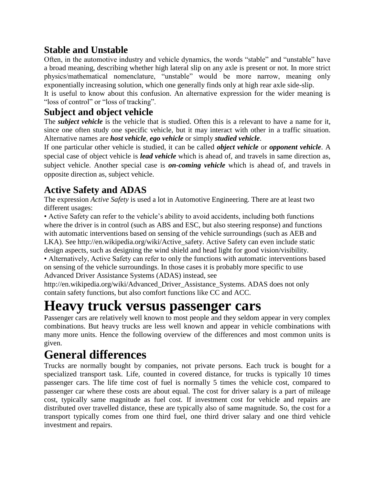### **Stable and Unstable**

Often, in the automotive industry and vehicle dynamics, the words "stable" and "unstable" have a broad meaning, describing whether high lateral slip on any axle is present or not. In more strict physics/mathematical nomenclature, "unstable" would be more narrow, meaning only exponentially increasing solution, which one generally finds only at high rear axle side-slip.

It is useful to know about this confusion. An alternative expression for the wider meaning is "loss of control" or "loss of tracking".

#### **Subject and object vehicle**

The *subject vehicle* is the vehicle that is studied. Often this is a relevant to have a name for it, since one often study one specific vehicle, but it may interact with other in a traffic situation. Alternative names are *host vehicle*, *ego vehicle* or simply *studied vehicle*.

If one particular other vehicle is studied, it can be called *object vehicle* or *opponent vehicle*. A special case of object vehicle is *lead vehicle* which is ahead of, and travels in same direction as, subject vehicle. Another special case is *on-coming vehicle* which is ahead of, and travels in opposite direction as, subject vehicle.

### **Active Safety and ADAS**

The expression *Active Safety* is used a lot in Automotive Engineering. There are at least two different usages:

• Active Safety can refer to the vehicle's ability to avoid accidents, including both functions where the driver is in control (such as ABS and ESC, but also steering response) and functions with automatic interventions based on sensing of the vehicle surroundings (such as AEB and LKA). See http://en.wikipedia.org/wiki/Active\_safety. Active Safety can even include static design aspects, such as designing the wind shield and head light for good vision/visibility.

• Alternatively, Active Safety can refer to only the functions with automatic interventions based on sensing of the vehicle surroundings. In those cases it is probably more specific to use Advanced Driver Assistance Systems (ADAS) instead, see

http://en.wikipedia.org/wiki/Advanced\_Driver\_Assistance\_Systems. ADAS does not only contain safety functions, but also comfort functions like CC and ACC.

# **Heavy truck versus passenger cars**

Passenger cars are relatively well known to most people and they seldom appear in very complex combinations. But heavy trucks are less well known and appear in vehicle combinations with many more units. Hence the following overview of the differences and most common units is given.

# **General differences**

Trucks are normally bought by companies, not private persons. Each truck is bought for a specialized transport task. Life, counted in covered distance, for trucks is typically 10 times passenger cars. The life time cost of fuel is normally 5 times the vehicle cost, compared to passenger car where these costs are about equal. The cost for driver salary is a part of mileage cost, typically same magnitude as fuel cost. If investment cost for vehicle and repairs are distributed over travelled distance, these are typically also of same magnitude. So, the cost for a transport typically comes from one third fuel, one third driver salary and one third vehicle investment and repairs.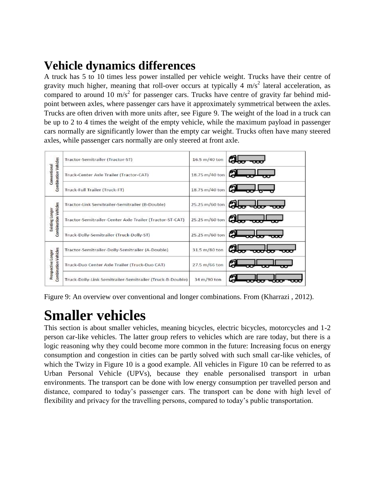# **Vehicle dynamics differences**

A truck has 5 to 10 times less power installed per vehicle weight. Trucks have their centre of gravity much higher, meaning that roll-over occurs at typically 4  $m/s<sup>2</sup>$  lateral acceleration, as compared to around 10 m/s<sup>2</sup> for passenger cars. Trucks have centre of gravity far behind midpoint between axles, where passenger cars have it approximately symmetrical between the axles. Trucks are often driven with more units after, see Figure 9. The weight of the load in a truck can be up to 2 to 4 times the weight of the empty vehicle, while the maximum payload in passenger cars normally are significantly lower than the empty car weight. Trucks often have many steered axles, while passenger cars normally are only steered at front axle.



Figure 9: An overview over conventional and longer combinations. From (Kharrazi , 2012).

# **Smaller vehicles**

This section is about smaller vehicles, meaning bicycles, electric bicycles, motorcycles and 1-2 person car-like vehicles. The latter group refers to vehicles which are rare today, but there is a logic reasoning why they could become more common in the future: Increasing focus on energy consumption and congestion in cities can be partly solved with such small car-like vehicles, of which the Twizy in Figure 10 is a good example. All vehicles in Figure 10 can be referred to as Urban Personal Vehicle (UPVs), because they enable personalised transport in urban environments. The transport can be done with low energy consumption per travelled person and distance, compared to today's passenger cars. The transport can be done with high level of flexibility and privacy for the travelling persons, compared to today's public transportation.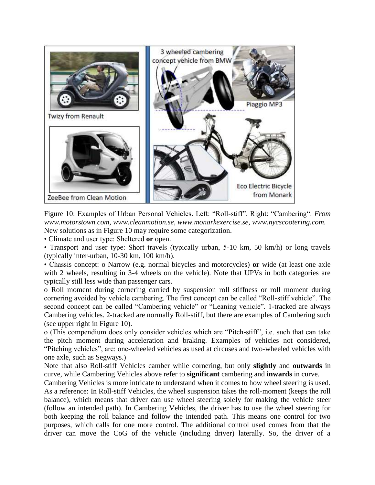

Figure 10: Examples of Urban Personal Vehicles. Left: "Roll-stiff". Right: "Cambering". *From www.motorstown.com, www.cleanmotion.se, www.monarkexercise.se, www.nycscootering.com.*  New solutions as in Figure 10 may require some categorization.

• Climate and user type: Sheltered **or** open.

• Transport and user type: Short travels (typically urban, 5-10 km, 50 km/h) or long travels (typically inter-urban, 10-30 km, 100 km/h).

• Chassis concept: o Narrow (e.g. normal bicycles and motorcycles) **or** wide (at least one axle with 2 wheels, resulting in 3-4 wheels on the vehicle). Note that UPVs in both categories are typically still less wide than passenger cars.

o Roll moment during cornering carried by suspension roll stiffness or roll moment during cornering avoided by vehicle cambering. The first concept can be called "Roll-stiff vehicle". The second concept can be called "Cambering vehicle" or "Leaning vehicle". 1-tracked are always Cambering vehicles. 2-tracked are normally Roll-stiff, but there are examples of Cambering such (see upper right in Figure 10).

o (This compendium does only consider vehicles which are "Pitch-stiff", i.e. such that can take the pitch moment during acceleration and braking. Examples of vehicles not considered, "Pitching vehicles", are: one-wheeled vehicles as used at circuses and two-wheeled vehicles with one axle, such as Segways.)

Note that also Roll-stiff Vehicles camber while cornering, but only **slightly** and **outwards** in curve, while Cambering Vehicles above refer to **significant** cambering and **inwards** in curve.

Cambering Vehicles is more intricate to understand when it comes to how wheel steering is used. As a reference: In Roll-stiff Vehicles, the wheel suspension takes the roll-moment (keeps the roll balance), which means that driver can use wheel steering solely for making the vehicle steer (follow an intended path). In Cambering Vehicles, the driver has to use the wheel steering for both keeping the roll balance and follow the intended path. This means one control for two purposes, which calls for one more control. The additional control used comes from that the driver can move the CoG of the vehicle (including driver) laterally. So, the driver of a